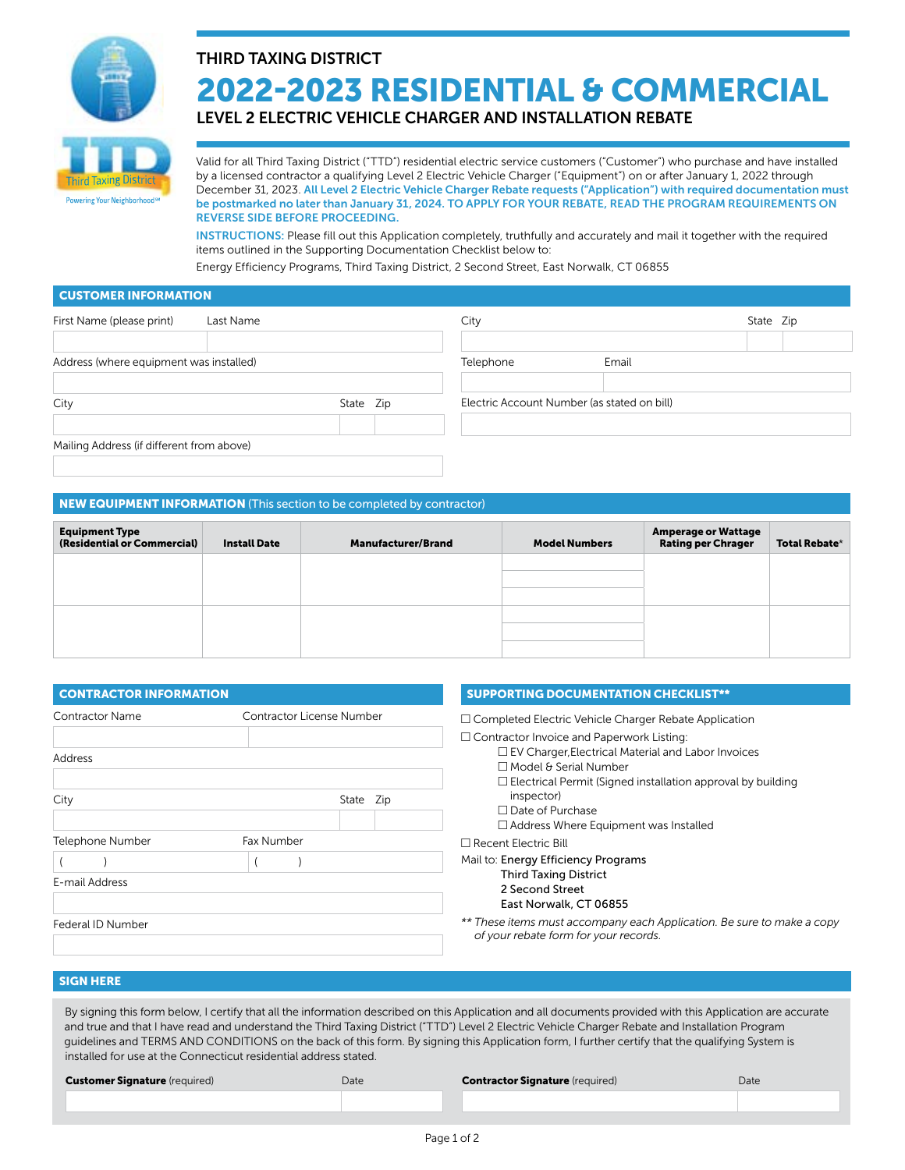

# THIRD TAXING DISTRICT 2022-2023 RESIDENTIAL & COMMERCIAL

LEVEL 2 ELECTRIC VEHICLE CHARGER AND INSTALLATION REBATE

Valid for all Third Taxing District ("TTD") residential electric service customers ("Customer") who purchase and have installed by a licensed contractor a qualifying Level 2 Electric Vehicle Charger ("Equipment") on or after January 1, 2022 through December 31, 2023. All Level 2 Electric Vehicle Charger Rebate requests ("Application") with required documentation must be postmarked no later than January 31, 2024. TO APPLY FOR YOUR REBATE, READ THE PROGRAM REQUIREMENTS ON REVERSE SIDE BEFORE PROCEEDING.

INSTRUCTIONS: Please fill out this Application completely, truthfully and accurately and mail it together with the required items outlined in the Supporting Documentation Checklist below to:

Energy Efficiency Programs, Third Taxing District, 2 Second Street, East Norwalk, CT 06855

## CUSTOMER INFORMATION

| First Name (please print)                 | Last Name |  | City                                        |       | State Zip |  |
|-------------------------------------------|-----------|--|---------------------------------------------|-------|-----------|--|
|                                           |           |  |                                             |       |           |  |
| Address (where equipment was installed)   |           |  | Telephone                                   | Email |           |  |
|                                           |           |  |                                             |       |           |  |
| City<br>State Zip                         |           |  | Electric Account Number (as stated on bill) |       |           |  |
|                                           |           |  |                                             |       |           |  |
| Mailing Address (if different from above) |           |  |                                             |       |           |  |
|                                           |           |  |                                             |       |           |  |

# NEW EQUIPMENT INFORMATION (This section to be completed by contractor)

| <b>Equipment Type</b><br>(Residential or Commercial) | <b>Install Date</b> | <b>Manufacturer/Brand</b> | <b>Model Numbers</b> | <b>Amperage or Wattage</b><br><b>Rating per Chrager</b> | Total Rebate* |
|------------------------------------------------------|---------------------|---------------------------|----------------------|---------------------------------------------------------|---------------|
|                                                      |                     |                           |                      |                                                         |               |
|                                                      |                     |                           |                      |                                                         |               |
|                                                      |                     |                           |                      |                                                         |               |
|                                                      |                     |                           |                      |                                                         |               |
|                                                      |                     |                           |                      |                                                         |               |

| <b>CONTRACTOR INFORMATION</b>      |                           | <b>SUPPORTING DOCUMENTATION CHECKLIST**</b>                                                                                                                                                                   |  |
|------------------------------------|---------------------------|---------------------------------------------------------------------------------------------------------------------------------------------------------------------------------------------------------------|--|
| <b>Contractor Name</b><br>Address  | Contractor License Number | $\Box$ Completed Electric Vehicle Charger Rebate Application<br>$\Box$ Contractor Invoice and Paperwork Listing:<br>$\Box$ EV Charger, Electrical Material and Labor Invoices<br>$\Box$ Model & Serial Number |  |
| City                               | State Zip                 | $\Box$ Electrical Permit (Signed installation approval by building<br>inspector)<br>$\Box$ Date of Purchase<br>$\Box$ Address Where Equipment was Installed                                                   |  |
| Telephone Number<br>E-mail Address | Fax Number                | $\Box$ Recent Electric Bill<br>Mail to: Energy Efficiency Programs<br><b>Third Taxing District</b><br>2 Second Street<br>East Norwalk, CT 06855                                                               |  |
| Federal ID Number                  |                           | ** These items must accompany each Application. Be sure to make a copy<br>of your rebate form for your records.                                                                                               |  |

# SIGN HERE

By signing this form below, I certify that all the information described on this Application and all documents provided with this Application are accurate and true and that I have read and understand the Third Taxing District ("TTD") Level 2 Electric Vehicle Charger Rebate and Installation Program guidelines and TERMS AND CONDITIONS on the back of this form. By signing this Application form, I further certify that the qualifying System is installed for use at the Connecticut residential address stated.

#### **Customer Signature** (required) Date **Contractor Signature** (required) Date Date